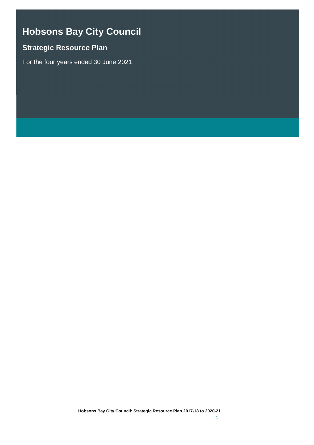# **Hobsons Bay City Council**

## **Strategic Resource Plan**

For the four years ended 30 June 2021

**Hobsons Bay City Council: Strategic Resource Plan 2017-18 to 2020-21**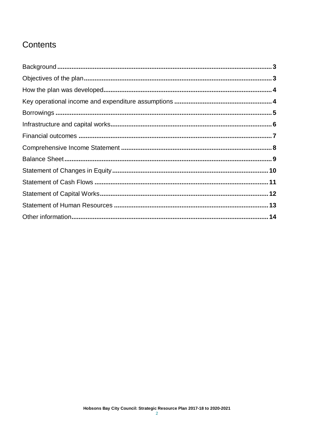# Contents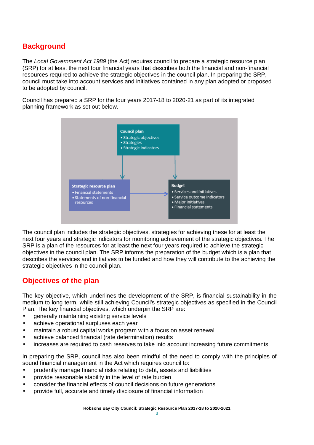### **Background**

The *Local Government Act 1989* (the Act) requires council to prepare a strategic resource plan (SRP) for at least the next four financial years that describes both the financial and non-financial resources required to achieve the strategic objectives in the council plan. In preparing the SRP, council must take into account services and initiatives contained in any plan adopted or proposed to be adopted by council.

Council has prepared a SRP for the four years 2017-18 to 2020-21 as part of its integrated planning framework as set out below.



The council plan includes the strategic objectives, strategies for achieving these for at least the next four years and strategic indicators for monitoring achievement of the strategic objectives. The SRP is a plan of the resources for at least the next four years required to achieve the strategic objectives in the council plan. The SRP informs the preparation of the budget which is a plan that describes the services and initiatives to be funded and how they will contribute to the achieving the strategic objectives in the council plan.

### **Objectives of the plan**

The key objective, which underlines the development of the SRP, is financial sustainability in the medium to long term, while still achieving Council's strategic objectives as specified in the Council Plan. The key financial objectives, which underpin the SRP are:

- generally maintaining existing service levels
- achieve operational surpluses each year
- maintain a robust capital works program with a focus on asset renewal
- achieve balanced financial (rate determination) results
- increases are required to cash reserves to take into account increasing future commitments

In preparing the SRP, council has also been mindful of the need to comply with the principles of sound financial management in the Act which requires council to:

- prudently manage financial risks relating to debt, assets and liabilities
- provide reasonable stability in the level of rate burden
- consider the financial effects of council decisions on future generations
- provide full, accurate and timely disclosure of financial information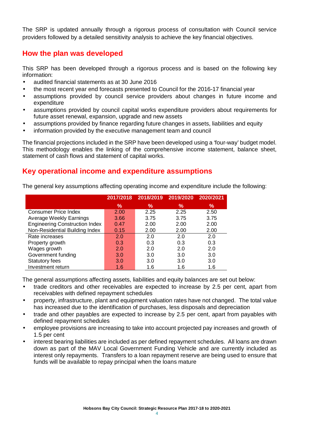The SRP is updated annually through a rigorous process of consultation with Council service providers followed by a detailed sensitivity analysis to achieve the key financial objectives.

#### **How the plan was developed**

This SRP has been developed through a rigorous process and is based on the following key information:

- audited financial statements as at 30 June 2016
- the most recent year end forecasts presented to Council for the 2016-17 financial year
- assumptions provided by council service providers about changes in future income and expenditure
- assumptions provided by council capital works expenditure providers about requirements for future asset renewal, expansion, upgrade and new assets
- assumptions provided by finance regarding future changes in assets, liabilities and equity
- information provided by the executive management team and council

The financial projections included in the SRP have been developed using a 'four-way' budget model. This methodology enables the linking of the comprehensive income statement, balance sheet, statement of cash flows and statement of capital works.

### **Key operational income and expenditure assumptions**

The general key assumptions affecting operating income and expenditure include the following:

|                                       | 2017/2018 | 2018/2019 | 2019/2020 | 2020/2021 |
|---------------------------------------|-----------|-----------|-----------|-----------|
|                                       | %         | ℅         | %         | %         |
| <b>Consumer Price Index</b>           | 2.00      | 2.25      | 2.25      | 2.50      |
| Average Weekly Earnings               | 3.66      | 3.75      | 3.75      | 3.75      |
| <b>Engineering Construction Index</b> | 0.47      | 2.00      | 2.00      | 2.00      |
| Non-Residential Building Index        | 0.15      | 2.00      | 2.00      | 2.00      |
| Rate increases                        | 2.0       | 2.0       | 2.0       | 2.0       |
| Property growth                       | 0.3       | 0.3       | 0.3       | 0.3       |
| Wages growth                          | 2.0       | 2.0       | 2.0       | 2.0       |
| Government funding                    | 3.0       | 3.0       | 3.0       | 3.0       |
| <b>Statutory fees</b>                 | 3.0       | 3.0       | 3.0       | 3.0       |
| Investment return                     | 1.6       | 1.6       | 1.6       | 1.6       |

The general assumptions affecting assets, liabilities and equity balances are set out below:

- trade creditors and other receivables are expected to increase by 2.5 per cent, apart from receivables with defined repayment schedules
- property, infrastructure, plant and equipment valuation rates have not changed. The total value has increased due to the identification of purchases, less disposals and depreciation
- trade and other payables are expected to increase by 2.5 per cent, apart from payables with defined repayment schedules
- employee provisions are increasing to take into account projected pay increases and growth of 1.5 per cent
- interest bearing liabilities are included as per defined repayment schedules. All loans are drawn down as part of the MAV Local Government Funding Vehicle and are currently included as interest only repayments. Transfers to a loan repayment reserve are being used to ensure that funds will be available to repay principal when the loans mature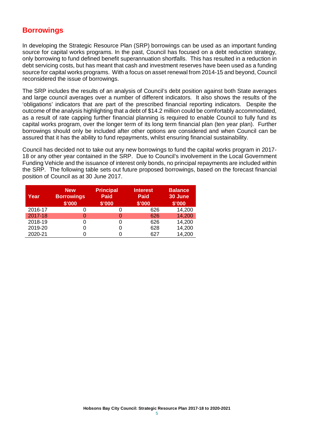#### **Borrowings**

In developing the Strategic Resource Plan (SRP) borrowings can be used as an important funding source for capital works programs. In the past, Council has focused on a debt reduction strategy, only borrowing to fund defined benefit superannuation shortfalls. This has resulted in a reduction in debt servicing costs, but has meant that cash and investment reserves have been used as a funding source for capital works programs. With a focus on asset renewal from 2014-15 and beyond, Council reconsidered the issue of borrowings.

The SRP includes the results of an analysis of Council's debt position against both State averages and large council averages over a number of different indicators. It also shows the results of the 'obligations' indicators that are part of the prescribed financial reporting indicators. Despite the outcome of the analysis highlighting that a debt of \$14.2 million could be comfortably accommodated, as a result of rate capping further financial planning is required to enable Council to fully fund its capital works program, over the longer term of its long term financial plan (ten year plan). Further borrowings should only be included after other options are considered and when Council can be assured that it has the ability to fund repayments, whilst ensuring financial sustainability.

Council has decided not to take out any new borrowings to fund the capital works program in 2017- 18 or any other year contained in the SRP. Due to Council's involvement in the Local Government Funding Vehicle and the issuance of interest only bonds, no principal repayments are included within the SRP. The following table sets out future proposed borrowings, based on the forecast financial position of Council as at 30 June 2017.

| Year    | <b>New</b><br><b>Borrowings</b><br>\$'000 | <b>Principal</b><br><b>Paid</b><br>\$'000 | <b>Interest</b><br><b>Paid</b><br>\$'000 | <b>Balance</b><br>30 June<br>\$'000 |
|---------|-------------------------------------------|-------------------------------------------|------------------------------------------|-------------------------------------|
| 2016-17 | 0                                         | 0                                         | 626                                      | 14,200                              |
| 2017-18 | 0                                         | Ω                                         | 626                                      | 14,200                              |
| 2018-19 | 0                                         | 0                                         | 626                                      | 14,200                              |
| 2019-20 | 0                                         | 0                                         | 628                                      | 14,200                              |
| 2020-21 |                                           |                                           | 627                                      | 14,200                              |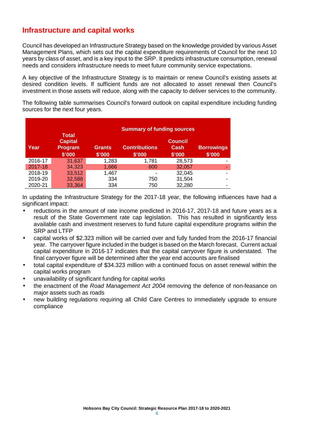#### **Infrastructure and capital works**

Council has developed an Infrastructure Strategy based on the knowledge provided by various Asset Management Plans, which sets out the capital expenditure requirements of Council for the next 10 years by class of asset, and is a key input to the SRP. It predicts infrastructure consumption, renewal needs and considers infrastructure needs to meet future community service expectations.

A key objective of the Infrastructure Strategy is to maintain or renew Council's existing assets at desired condition levels. If sufficient funds are not allocated to asset renewal then Council's investment in those assets will reduce, along with the capacity to deliver services to the community.

The following table summarises Council's forward outlook on capital expenditure including funding sources for the next four years.

|         |                                                     | <b>Summary of funding sources</b> |                                |                                  |                             |  |  |  |  |  |
|---------|-----------------------------------------------------|-----------------------------------|--------------------------------|----------------------------------|-----------------------------|--|--|--|--|--|
| Year    | <b>Total</b><br><b>Capital</b><br>Program<br>\$'000 | <b>Grants</b><br>\$'000           | <b>Contributions</b><br>\$'000 | <b>Council</b><br>Cash<br>\$'000 | <b>Borrowings</b><br>\$'000 |  |  |  |  |  |
| 2016-17 | 31,637                                              | 1,283                             | 1,781                          | 28,573                           |                             |  |  |  |  |  |
| 2017-18 | 34,323                                              | 1,666                             | 600                            | 32,057                           | ۰                           |  |  |  |  |  |
| 2018-19 | 33,512                                              | 1,467                             |                                | 32,045                           | ۰                           |  |  |  |  |  |
| 2019-20 | 32,588                                              | 334                               | 750                            | 31,504                           | -                           |  |  |  |  |  |
| 2020-21 | 33,364                                              | 334                               | 750                            | 32,280                           | -                           |  |  |  |  |  |

In updating the Infrastructure Strategy for the 2017-18 year, the following influences have had a significant impact:

- reductions in the amount of rate income predicted in 2016-17, 2017-18 and future years as a result of the State Government rate cap legislation. This has resulted in significantly less available cash and investment reserves to fund future capital expenditure programs within the SRP and LTFP
- capital works of \$2.323 million will be carried over and fully funded from the 2016-17 financial year. The carryover figure included in the budget is based on the March forecast. Current actual capital expenditure in 2016-17 indicates that the capital carryover figure is understated. The final carryover figure will be determined after the year end accounts are finalised
- total capital expenditure of \$34.323 million with a continued focus on asset renewal within the capital works program
- unavailability of significant funding for capital works
- the enactment of the *Road Management Act 2004* removing the defence of non-feasance on major assets such as roads
- new building regulations requiring all Child Care Centres to immediately upgrade to ensure compliance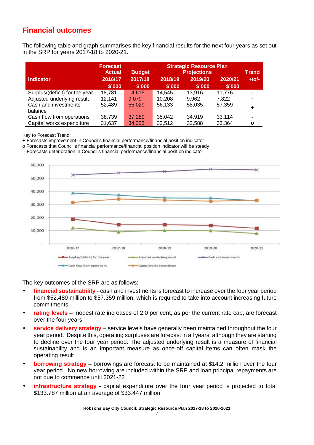### **Financial outcomes**

The following table and graph summarises the key financial results for the next four years as set out in the SRP for years 2017-18 to 2020-21.

|                                 | <b>Forecast</b><br><b>Actual</b> | <b>Strategic Resource Plan</b><br><b>Projections</b><br><b>Budget</b> |                   |                   |                   | <b>Trend</b> |
|---------------------------------|----------------------------------|-----------------------------------------------------------------------|-------------------|-------------------|-------------------|--------------|
| <b>Indicator</b>                | 2016/17<br>\$'000                | 2017/18<br>\$'000                                                     | 2018/19<br>\$'000 | 2019/20<br>\$'000 | 2020/21<br>\$'000 | $+$ /o/-     |
| Surplus/(deficit) for the year  | 18,781                           | 14,615                                                                | 14,545            | 13.916            | 11,776            |              |
| Adjusted underlying result      | 12,141                           | 9.079                                                                 | 10.208            | 9.962             | 7,822             |              |
| Cash and investments<br>balance | 52,489                           | 55,029                                                                | 56.133            | 58.035            | 57,359            |              |
| Cash flow from operations       | 38,739                           | 37,289                                                                | 35,042            | 34,919            | 33,114            | -            |
| Capital works expenditure       | 31,637                           | 34.323                                                                | 33,512            | 32,588            | 33,364            | O            |

Key to Forecast Trend:

+ Forecasts improvement in Council's financial performance/financial position indicator

o Forecasts that Council's financial performance/financial position indicator will be steady

- Forecasts deterioration in Council's financial performance/financial position indicator



The key outcomes of the SRP are as follows:

- **financial sustainability**  cash and investments is forecast to increase over the four year period from \$52.489 million to \$57.359 million, which is required to take into account increasing future commitments
- **rating levels**  modest rate increases of 2.0 per cent, as per the current rate cap, are forecast over the four years
- **service delivery strategy**  service levels have generally been maintained throughout the four year period. Despite this, operating surpluses are forecast in all years, although they are starting to decline over the four year period. The adjusted underlying result is a measure of financial sustainability and is an important measure as once-off capital items can often mask the operating result
- **borrowing strategy** borrowings are forecast to be maintained at \$14.2 million over the four year period. No new borrowing are included within the SRP and loan principal repayments are not due to commence until 2021-22
- **infrastructure strategy** capital expenditure over the four year period is projected to total \$133.787 million at an average of \$33.447 million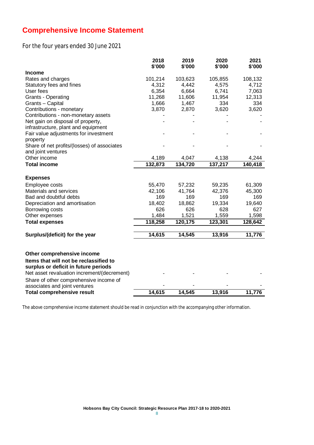### **Comprehensive Income Statement**

For the four years ended 30 June 2021

|                                                                    | 2018<br>\$'000 | 2019<br>\$'000 | 2020<br>\$'000 | 2021<br>\$'000 |
|--------------------------------------------------------------------|----------------|----------------|----------------|----------------|
| <b>Income</b>                                                      |                |                |                |                |
| Rates and charges                                                  | 101,214        | 103,623        | 105,855        | 108,132        |
| Statutory fees and fines                                           | 4,312          | 4,442          | 4,575          | 4,712          |
| User fees                                                          | 6,354          | 6,664          | 6,741          | 7,063          |
| Grants - Operating                                                 | 11,268         | 11,606         | 11,954         | 12,313         |
| Grants - Capital                                                   | 1,666          | 1,467          | 334            | 334            |
| Contributions - monetary                                           | 3,870          | 2,870          | 3,620          | 3,620          |
| Contributions - non-monetary assets                                |                |                |                |                |
| Net gain on disposal of property,                                  |                |                |                |                |
| infrastructure, plant and equipment                                |                |                |                |                |
| Fair value adjustments for investment                              |                |                |                |                |
| property                                                           |                |                |                |                |
| Share of net profits/(losses) of associates                        |                |                |                |                |
| and joint ventures                                                 |                |                |                |                |
| Other income                                                       | 4,189          | 4,047          | 4,138          | 4,244          |
| <b>Total income</b>                                                | 132,873        | 134,720        | 137,217        | 140,418        |
| <b>Expenses</b>                                                    |                |                |                |                |
| Employee costs                                                     | 55,470         | 57,232         | 59,235         | 61,309         |
| Materials and services                                             | 42,106         | 41,764         | 42,376         | 45,300         |
| Bad and doubtful debts                                             | 169            | 169            | 169            | 169            |
| Depreciation and amortisation                                      | 18,402         | 18,862         | 19,334         | 19,640         |
| Borrowing costs                                                    | 626            | 626            | 628            | 627            |
| Other expenses                                                     | 1,484          | 1,521          | 1,559          | 1,598          |
| <b>Total expenses</b>                                              | 118,258        | 120,175        | 123,301        | 128,642        |
| Surplus/(deficit) for the year                                     | 14,615         | 14,545         | 13,916         | 11,776         |
|                                                                    |                |                |                |                |
| Other comprehensive income                                         |                |                |                |                |
| Items that will not be reclassified to                             |                |                |                |                |
|                                                                    |                |                |                |                |
| surplus or deficit in future periods                               |                |                |                |                |
| Net asset revaluation increment/(decrement)                        |                |                |                |                |
| Share of other comprehensive income of                             |                |                |                |                |
| associates and joint ventures<br><b>Total comprehensive result</b> | 14,615         | 14.545         | 13,916         | 11,776         |
|                                                                    |                |                |                |                |

The above comprehensive income statement should be read in conjunction with the accompanying other information.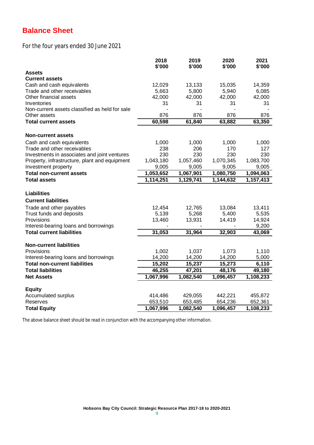# **Balance Sheet**

For the four years ended 30 June 2021

|                                                | 2018<br>\$'000 | 2019<br>\$'000 | 2020<br>\$'000 | 2021<br>\$'000 |
|------------------------------------------------|----------------|----------------|----------------|----------------|
| <b>Assets</b>                                  |                |                |                |                |
| <b>Current assets</b>                          |                |                |                |                |
| Cash and cash equivalents                      | 12,029         | 13,133         | 15,035         | 14,359         |
| Trade and other receivables                    | 5,663          | 5,800          | 5,940          | 6,085          |
| Other financial assets                         | 42,000         | 42,000         | 42,000         | 42,000         |
| Inventories                                    | 31             | 31             | 31             | 31             |
| Non-current assets classified as held for sale |                |                |                |                |
| Other assets                                   | 876            | 876            | 876            | 876            |
| <b>Total current assets</b>                    | 60,598         | 61,840         | 63,882         | 63,350         |
| <b>Non-current assets</b>                      |                |                |                |                |
| Cash and cash equivalents                      | 1,000          | 1,000          | 1,000          | 1,000          |
| Trade and other receivables                    | 238            | 206            | 170            | 127            |
| Investments in associates and joint ventures   | 230            | 230            | 230            | 230            |
| Property, infrastructure, plant and equipment  | 1,043,180      | 1,057,460      | 1,070,345      | 1,083,700      |
| Investment property                            | 9,005          | 9,005          | 9,005          | 9,005          |
| <b>Total non-current assets</b>                | 1,053,652      | 1,067,901      | 1,080,750      | 1,094,063      |
| <b>Total assets</b>                            | 1,114,251      | 1,129,741      | 1,144,632      | 1,157,413      |
|                                                |                |                |                |                |
| <b>Liabilities</b>                             |                |                |                |                |
| <b>Current liabilities</b>                     |                |                |                |                |
| Trade and other payables                       | 12,454         | 12,765         | 13,084         | 13,411         |
| Trust funds and deposits                       | 5,139          | 5,268          | 5,400          | 5,535          |
| Provisions                                     | 13,460         | 13,931         | 14,419         | 14,924         |
| Interest-bearing loans and borrowings          |                |                |                | 9,200          |
| <b>Total current liabilities</b>               | 31,053         | 31,964         | 32,903         | 43,069         |
|                                                |                |                |                |                |
| <b>Non-current liabilities</b>                 |                |                |                |                |
| Provisions                                     | 1,002          | 1,037          | 1,073          | 1,110          |
| Interest-bearing loans and borrowings          | 14,200         | 14,200         | 14,200         | 5,000          |
| <b>Total non-current liabilities</b>           | 15,202         | 15,237         | 15,273         | 6,110          |
| <b>Total liabilities</b>                       | 46,255         | 47,201         | 48,176         | 49,180         |
| <b>Net Assets</b>                              | 1,067,996      | 1,082,540      | 1,096,457      | 1,108,233      |
| <b>Equity</b>                                  |                |                |                |                |
| Accumulated surplus                            | 414,486        | 429,055        | 442,221        | 455,872        |
| Reserves                                       | 653,510        | 653,485        | 654,236        | 652,361        |
| <b>Total Equity</b>                            | 1,067,996      | 1,082,540      | 1,096,457      | 1,108,233      |

The above balance sheet should be read in conjunction with the accompanying other information.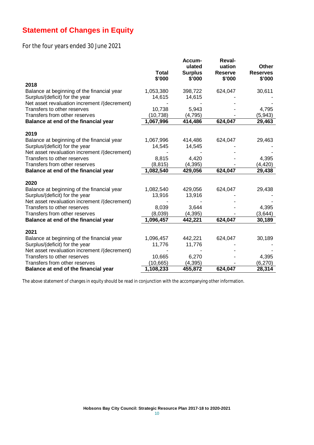### **Statement of Changes in Equity**

### For the four years ended 30 June 2021

|                                              |                        | Accum-<br>ulated         | <b>Reval-</b><br>uation  | <b>Other</b>              |
|----------------------------------------------|------------------------|--------------------------|--------------------------|---------------------------|
|                                              | <b>Total</b><br>\$'000 | <b>Surplus</b><br>\$'000 | <b>Reserve</b><br>\$'000 | <b>Reserves</b><br>\$'000 |
| 2018                                         |                        |                          |                          |                           |
| Balance at beginning of the financial year   | 1,053,380              | 398,722                  | 624,047                  | 30,611                    |
| Surplus/(deficit) for the year               | 14,615                 | 14,615                   |                          |                           |
| Net asset revaluation increment /(decrement) |                        |                          |                          |                           |
| Transfers to other reserves                  | 10,738                 | 5,943                    |                          | 4,795                     |
| Transfers from other reserves                | (10, 738)              | (4, 795)                 |                          | (5,943)                   |
| Balance at end of the financial year         | 1,067,996              | 414,486                  | 624,047                  | 29,463                    |
| 2019                                         |                        |                          |                          |                           |
| Balance at beginning of the financial year   | 1,067,996              | 414,486                  | 624,047                  | 29,463                    |
| Surplus/(deficit) for the year               | 14,545                 | 14,545                   |                          |                           |
| Net asset revaluation increment /(decrement) |                        |                          |                          |                           |
| Transfers to other reserves                  | 8,815                  | 4,420                    |                          | 4,395                     |
| Transfers from other reserves                | (8, 815)               | (4, 395)                 |                          | (4, 420)                  |
| Balance at end of the financial year         | 1,082,540              | 429,056                  | 624,047                  | 29,438                    |
| 2020                                         |                        |                          |                          |                           |
| Balance at beginning of the financial year   | 1,082,540              | 429,056                  | 624,047                  | 29,438                    |
| Surplus/(deficit) for the year               | 13,916                 | 13,916                   |                          |                           |
| Net asset revaluation increment /(decrement) |                        |                          |                          |                           |
| Transfers to other reserves                  | 8,039                  | 3,644                    |                          | 4,395                     |
| Transfers from other reserves                | (8,039)                | (4, 395)                 |                          | (3,644)                   |
| Balance at end of the financial year         | 1,096,457              | 442,221                  | 624,047                  | 30,189                    |
| 2021                                         |                        |                          |                          |                           |
| Balance at beginning of the financial year   | 1,096,457              | 442,221                  | 624,047                  | 30,189                    |
| Surplus/(deficit) for the year               | 11,776                 | 11,776                   |                          |                           |
| Net asset revaluation increment /(decrement) |                        |                          |                          |                           |
| Transfers to other reserves                  | 10,665                 | 6,270                    |                          | 4,395                     |
| Transfers from other reserves                | (10, 665)              | (4, 395)                 |                          | (6, 270)                  |
| Balance at end of the financial year         | 1,108,233              | 455,872                  | 624,047                  | 28,314                    |

The above statement of changes in equity should be read in conjunction with the accompanying other information.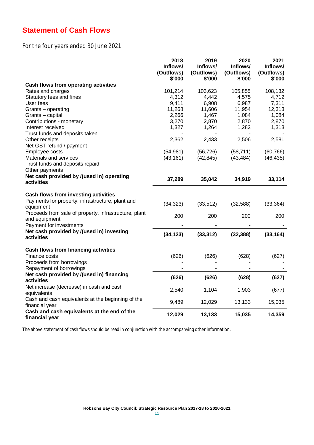### **Statement of Cash Flows**

For the four years ended 30 June 2021

|                                                                                                                                                                                 | 2018<br>Inflows/<br>(Outflows)<br>\$'000 | 2019<br>Inflows/<br>(Outflows)<br>\$'000 | 2020<br>Inflows/<br>(Outflows)<br>\$'000 | 2021<br>Inflows/<br>(Outflows)<br>\$'000 |
|---------------------------------------------------------------------------------------------------------------------------------------------------------------------------------|------------------------------------------|------------------------------------------|------------------------------------------|------------------------------------------|
| Cash flows from operating activities                                                                                                                                            |                                          |                                          |                                          |                                          |
| Rates and charges                                                                                                                                                               | 101,214                                  | 103,623                                  | 105,855                                  | 108,132                                  |
| Statutory fees and fines                                                                                                                                                        | 4,312                                    | 4,442                                    | 4,575                                    | 4,712                                    |
| User fees                                                                                                                                                                       | 9,411                                    | 6,908                                    | 6,987                                    | 7,311                                    |
| Grants - operating                                                                                                                                                              | 11,268                                   | 11,606                                   | 11,954                                   | 12,313                                   |
| Grants - capital                                                                                                                                                                | 2,266                                    | 1,467                                    | 1,084                                    | 1,084                                    |
| Contributions - monetary                                                                                                                                                        | 3,270                                    | 2,870                                    | 2,870                                    | 2,870                                    |
| Interest received                                                                                                                                                               | 1,327                                    | 1,264                                    | 1,282                                    | 1,313                                    |
| Trust funds and deposits taken                                                                                                                                                  |                                          |                                          |                                          |                                          |
| Other receipts                                                                                                                                                                  | 2,362                                    | 2,433                                    | 2,506                                    | 2,581                                    |
| Net GST refund / payment                                                                                                                                                        |                                          |                                          |                                          |                                          |
| Employee costs                                                                                                                                                                  | (54, 981)                                | (56, 726)                                | (58, 711)                                | (60, 766)                                |
| Materials and services                                                                                                                                                          | (43, 161)                                | (42, 845)                                | (43, 484)                                | (46, 435)                                |
| Trust funds and deposits repaid                                                                                                                                                 |                                          |                                          |                                          |                                          |
| Other payments                                                                                                                                                                  |                                          |                                          |                                          |                                          |
| Net cash provided by /(used in) operating<br>activities                                                                                                                         | 37,289                                   | 35,042                                   | 34,919                                   | 33,114                                   |
| Cash flows from investing activities<br>Payments for property, infrastructure, plant and<br>equipment<br>Proceeds from sale of property, infrastructure, plant<br>and equipment | (34, 323)<br>200                         | (33, 512)<br>200                         | (32, 588)<br>200                         | (33, 364)<br>200                         |
| Payment for investments                                                                                                                                                         |                                          |                                          |                                          |                                          |
| Net cash provided by /(used in) investing<br>activities                                                                                                                         | (34, 123)                                | (33, 312)                                | (32, 388)                                | (33, 164)                                |
| Cash flows from financing activities<br>Finance costs<br>Proceeds from borrowings<br>Repayment of borrowings                                                                    | (626)                                    | (626)                                    | (628)                                    | (627)                                    |
| Net cash provided by /(used in) financing<br>activities                                                                                                                         | (626)                                    | (626)                                    | (628)                                    | (627)                                    |
| Net increase (decrease) in cash and cash<br>equivalents                                                                                                                         | 2,540                                    | 1,104                                    | 1,903                                    | (677)                                    |
| Cash and cash equivalents at the beginning of the<br>financial year                                                                                                             | 9,489                                    | 12,029                                   | 13,133                                   | 15,035                                   |
| Cash and cash equivalents at the end of the<br>financial year                                                                                                                   | 12,029                                   | 13,133                                   | 15,035                                   | 14,359                                   |

The above statement of cash flows should be read in conjunction with the accompanying other information.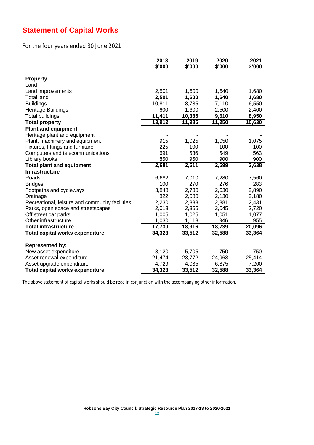### **Statement of Capital Works**

### For the four years ended 30 June 2021

|                                                | 2018<br>\$'000 | 2019<br>\$'000 | 2020<br>\$'000 | 2021<br>\$'000 |
|------------------------------------------------|----------------|----------------|----------------|----------------|
|                                                |                |                |                |                |
| <b>Property</b><br>Land                        |                |                |                |                |
|                                                | 2,501          | 1,600          | 1,640          |                |
| Land improvements                              | 2,501          | 1,600          | 1,640          | 1,680          |
| <b>Total land</b>                              |                |                |                | 1,680          |
| <b>Buildings</b>                               | 10,811         | 8,785          | 7,110          | 6,550          |
| Heritage Buildings                             | 600            | 1,600          | 2,500          | 2,400          |
| <b>Total buildings</b>                         | 11,411         | 10,385         | 9,610          | 8,950          |
| <b>Total property</b>                          | 13,912         | 11,985         | 11,250         | 10,630         |
| <b>Plant and equipment</b>                     |                |                |                |                |
| Heritage plant and equipment                   |                |                |                |                |
| Plant, machinery and equipment                 | 915            | 1,025          | 1,050          | 1,075          |
| Fixtures, fittings and furniture               | 225            | 100            | 100            | 100            |
| Computers and telecommunications               | 691            | 536            | 549            | 563            |
| Library books                                  | 850            | 950            | 900            | 900            |
| <b>Total plant and equipment</b>               | 2,681          | 2,611          | 2,599          | 2,638          |
| <b>Infrastructure</b>                          |                |                |                |                |
| Roads                                          | 6,682          | 7,010          | 7,280          | 7,560          |
| <b>Bridges</b>                                 | 100            | 270            | 276            | 283            |
| Footpaths and cycleways                        | 3,848          | 2,730          | 2,630          | 2,890          |
| Drainage                                       | 822            | 2,080          | 2,130          | 2,180          |
| Recreational, leisure and community facilities | 2,230          | 2,333          | 2,381          | 2,431          |
| Parks, open space and streetscapes             | 2,013          | 2,355          | 2,045          | 2,720          |
| Off street car parks                           | 1,005          | 1,025          | 1,051          | 1,077          |
| Other infrastructure                           | 1,030          | 1,113          | 946            | 955            |
| <b>Total infrastructure</b>                    | 17,730         | 18,916         | 18,739         | 20,096         |
| <b>Total capital works expenditure</b>         | 34,323         | 33,512         | 32,588         | 33,364         |
| <b>Represented by:</b>                         |                |                |                |                |
| New asset expenditure                          | 8,120          | 5,705          | 750            | 750            |
| Asset renewal expenditure                      | 21,474         | 23,772         | 24,963         | 25,414         |
| Asset upgrade expenditure                      | 4,729          | 4,035          | 6,875          | 7,200          |
| <b>Total capital works expenditure</b>         | 34,323         | 33,512         | 32,588         | 33,364         |

The above statement of capital works should be read in conjunction with the accompanying other information.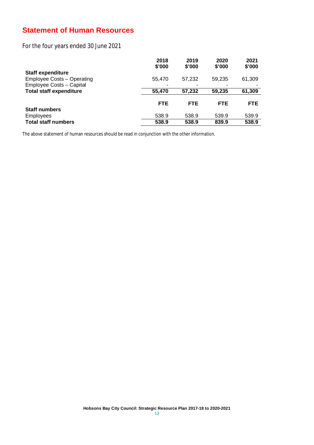### **Statement of Human Resources**

For the four years ended 30 June 2021

|                                   | 2018<br>\$'000 | 2019<br>\$'000 | 2020<br>\$'000 | 2021<br>\$'000 |
|-----------------------------------|----------------|----------------|----------------|----------------|
| <b>Staff expenditure</b>          |                |                |                |                |
| <b>Employee Costs - Operating</b> | 55,470         | 57,232         | 59,235         | 61,309         |
| Employee Costs - Capital          |                | ٠              |                |                |
| <b>Total staff expenditure</b>    | 55,470         | 57,232         | 59,235         | 61,309         |
|                                   | <b>FTE</b>     | <b>FTE</b>     | <b>FTE</b>     | <b>FTE</b>     |
| <b>Staff numbers</b>              |                |                |                |                |
| <b>Employees</b>                  | 538.9          | 538.9          | 539.9          | 539.9          |
| <b>Total staff numbers</b>        | 538.9          | 538.9          | 839.9          | 538.9          |

The above statement of human resources should be read in conjunction with the other information.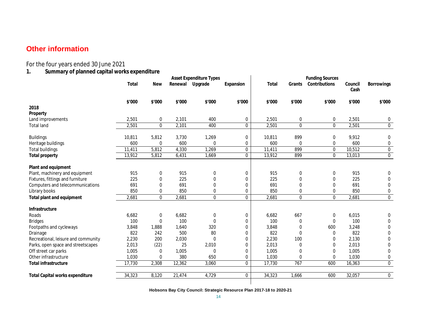### **Other information**

For the four years ended 30 June 2021

**1. Summary of planned capital works expenditure** 

|                                        | <b>Asset Expenditure Types</b> |              |        |                 | <b>Funding Sources</b> |        |             |               |                 |                   |
|----------------------------------------|--------------------------------|--------------|--------|-----------------|------------------------|--------|-------------|---------------|-----------------|-------------------|
|                                        | Total                          | <b>New</b>   |        | Renewal Upgrade | Expansion              | Total  | Grants      | Contributions | Council<br>Cash | <b>Borrowings</b> |
|                                        | \$'000                         | \$'000       | \$'000 | \$'000          | \$'000                 | \$'000 | \$'000      | \$'000        | \$'000          | \$'000            |
| 2018                                   |                                |              |        |                 |                        |        |             |               |                 |                   |
| Property                               |                                |              |        |                 |                        |        |             |               |                 |                   |
| Land improvements                      | 2,501                          | 0            | 2,101  | 400             | 0                      | 2,501  | 0           | 0             | 2,501           | 0                 |
| <b>Total land</b>                      | 2,501                          | 0            | 2,101  | 400             | 0                      | 2,501  | $\bf{0}$    | 0             | 2,501           | $\bf{0}$          |
| <b>Buildings</b>                       | 10,811                         | 5,812        | 3,730  | 1,269           | 0                      | 10,811 | 899         | 0             | 9,912           | 0                 |
| Heritage buildings                     | 600                            | 0            | 600    | 0               | 0                      | 600    | 0           | 0             | 600             | 0                 |
| <b>Total buildings</b>                 | 11,411                         | 5,812        | 4,330  | 1,269           | 0                      | 11,411 | 899         | 0             | 10,512          | $\overline{0}$    |
| <b>Total property</b>                  | 13,912                         | 5,812        | 6,431  | 1,669           | $\mathbf{0}$           | 13,912 | 899         | $\mathbf{0}$  | 13,013          | $\mathbf 0$       |
| Plant and equipment                    |                                |              |        |                 |                        |        |             |               |                 |                   |
| Plant, machinery and equipment         | 915                            | 0            | 915    | 0               | 0                      | 915    | $\bf{0}$    | 0             | 915             | $\mathbf 0$       |
| Fixtures, fittings and furniture       | 225                            | 0            | 225    | $\mathbf 0$     | 0                      | 225    | 0           | 0             | 225             | 0                 |
| Computers and telecommunications       | 691                            | 0            | 691    | 0               | 0                      | 691    | 0           | 0             | 691             | $\mathbf 0$       |
| Library books                          | 850                            | 0            | 850    | 0               | 0                      | 850    | 0           | 0             | 850             | 0                 |
| Total plant and equipment              | 2,681                          | $\mathbf{0}$ | 2,681  | 0               | $\mathbf{0}$           | 2,681  | $\mathbf 0$ | $\mathbf{0}$  | 2,681           | $\overline{0}$    |
| Infrastructure                         |                                |              |        |                 |                        |        |             |               |                 |                   |
| Roads                                  | 6,682                          | 0            | 6,682  | $\pmb{0}$       | 0                      | 6,682  | 667         | 0             | 6,015           | 0                 |
| <b>Bridges</b>                         | 100                            | 0            | 100    | $\mathbf 0$     | 0                      | 100    | 0           | 0             | 100             | 0                 |
| Footpaths and cycleways                | 3,848                          | 1,888        | 1,640  | 320             | 0                      | 3,848  | 0           | 600           | 3,248           | $\mathbf 0$       |
| Drainage                               | 822                            | 242          | 500    | 80              | 0                      | 822    | 0           | 0             | 822             | $\mathbf 0$       |
| Recreational, leisure and community    | 2,230                          | 200          | 2,030  | 0               | 0                      | 2,230  | 100         | 0             | 2,130           | 0                 |
| Parks, open space and streetscapes     | 2,013                          | (22)         | 25     | 2,010           | 0                      | 2,013  | 0           | 0             | 2,013           | 0                 |
| Off street car parks                   | 1,005                          | 0            | 1,005  | 0               | 0                      | 1,005  | 0           | 0             | 1,005           | $\mathbf 0$       |
| Other infrastructure                   | 1,030                          | 0            | 380    | 650             | 0                      | 1,030  | 0           | 0             | 1,030           | 0                 |
| <b>Total infrastructure</b>            | 17,730                         | 2,308        | 12,362 | 3,060           | $\pmb{0}$              | 17,730 | 767         | 600           | 16,363          | $\pmb{0}$         |
| <b>Total Capital works expenditure</b> | 34,323                         | 8,120        | 21,474 | 4,729           | $\mathbf 0$            | 34,323 | 1,666       | 600           | 32,057          | $\overline{0}$    |
|                                        |                                |              |        |                 |                        |        |             |               |                 |                   |

**Hobsons Bay City Council: Strategic Resource Plan 2017-18 to 2020-21**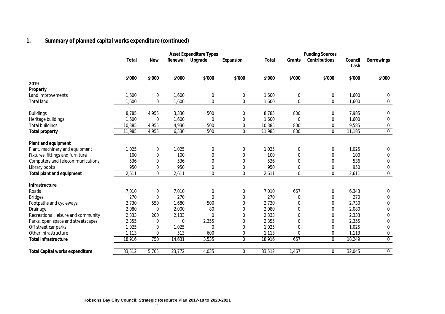### **1. Summary of planned capital works expenditure (continued)**

|                                                  |            |         | <b>Asset Expenditure Types</b> |              |        |             | <b>Funding Sources</b> |                 |                   |
|--------------------------------------------------|------------|---------|--------------------------------|--------------|--------|-------------|------------------------|-----------------|-------------------|
| Total                                            | <b>New</b> | Renewal | Upgrade                        | Expansion    | Total  | Grants      | Contributions          | Council<br>Cash | <b>Borrowings</b> |
| \$'000                                           | \$'000     | \$'000  | \$'000                         | \$'000       | \$'000 | \$'000      | \$'000                 | \$'000          | \$'000            |
| 2019                                             |            |         |                                |              |        |             |                        |                 |                   |
| Property                                         |            |         |                                |              |        |             |                        |                 |                   |
| 1,600<br>Land improvements                       | 0          | 1,600   | 0                              | 0            | 1,600  | 0           | 0                      | 1,600           | 0                 |
| 1,600<br><b>Total land</b>                       | $\pmb{0}$  | 1,600   | $\mathbf{0}$                   | $\mathbf 0$  | 1,600  | 0           | $\mathbf{0}$           | 1,600           | $\pmb{0}$         |
| <b>Buildings</b><br>8,785                        | 4,955      | 3,330   | 500                            | 0            | 8,785  | 800         | 0                      | 7,985           | 0                 |
| 1,600<br>Heritage buildings                      | 0          | 1,600   | $\mathbf{0}$                   | 0            | 1,600  | 0           | 0                      | 1,600           | 0                 |
| <b>Total buildings</b><br>10,385                 | 4,955      | 4,930   | 500                            | 0            | 10,385 | 800         | $\mathbf 0$            | 9,585           | $\pmb{0}$         |
| 11,985<br><b>Total property</b>                  | 4,955      | 6,530   | 500                            | $\mathbf{0}$ | 11,985 | 800         | $\mathbf{0}$           | 11,185          | $\mathbf 0$       |
| Plant and equipment                              |            |         |                                |              |        |             |                        |                 |                   |
| Plant, machinery and equipment<br>1,025          | 0          | 1,025   | 0                              | 0            | 1,025  | 0           | 0                      | 1,025           | $\mathbf 0$       |
| Fixtures, fittings and furniture                 | 100<br>0   | 100     | $\Omega$                       | $\mathbf 0$  | 100    | 0           | 0                      | 100             | $\mathbf 0$       |
| Computers and telecommunications                 | 536<br>0   | 536     | $\Omega$                       | $\mathbf 0$  | 536    | 0           | 0                      | 536             | $\mathbf 0$       |
| Library books                                    | 950<br>0   | 950     | 0                              | $\mathbf 0$  | 950    | 0           | 0                      | 950             | $\pmb{0}$         |
| 2,611<br>Total plant and equipment               | $\pmb{0}$  | 2,611   | $\mathbf{0}$                   | $\mathbf 0$  | 2,611  | $\mathbf 0$ | $\mathbf{0}$           | 2,611           | $\mathbf 0$       |
| Infrastructure                                   |            |         |                                |              |        |             |                        |                 |                   |
| 7,010<br>Roads                                   | 0          | 7,010   | 0                              | 0            | 7,010  | 667         | 0                      | 6,343           | 0                 |
| <b>Bridges</b>                                   | 270<br>0   | 270     | $\Omega$                       | $\mathbf 0$  | 270    | 0           | 0                      | 270             | 0                 |
| Footpaths and cycleways<br>2,730                 | 550        | 1,680   | 500                            | 0            | 2,730  | 0           | 0                      | 2,730           | $\bf{0}$          |
| 2,080<br>Drainage                                | 0          | 2,000   | 80                             | 0            | 2,080  | 0           | 0                      | 2,080           | 0                 |
| 2,333<br>Recreational, leisure and community     | 200        | 2,133   | 0                              | 0            | 2,333  | 0           | 0                      | 2,333           | $\bf{0}$          |
| 2,355<br>Parks, open space and streetscapes      | 0          | 0       | 2,355                          | 0            | 2,355  | 0           | 0                      | 2,355           | $\mathbf 0$       |
| 1,025<br>Off street car parks                    | 0          | 1,025   | $\Omega$                       | $\mathbf 0$  | 1,025  | 0           | 0                      | 1,025           | $\boldsymbol{0}$  |
| 1,113<br>Other infrastructure                    | 0          | 513     | 600                            | 0            | 1,113  | 0           | 0                      | 1,113           | 0                 |
| 18,916<br>Total infrastructure                   | 750        | 14,631  | 3,535                          | $\mathbf 0$  | 18,916 | 667         | $\mathbf{0}$           | 18,249          | $\mathbf 0$       |
| 33,512<br><b>Total Capital works expenditure</b> | 5,705      | 23,772  | 4,035                          | 0            | 33,512 | 1,467       | 0                      | 32,045          | $\bf{0}$          |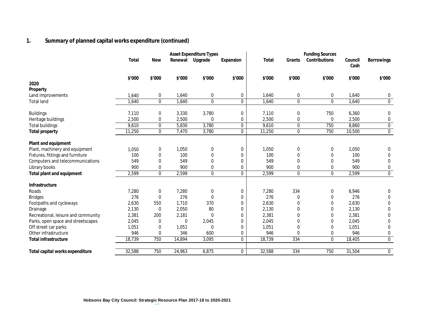### **1. Summary of planned capital works expenditure (continued)**

|                                     |        |              |         | <b>Asset Expenditure Types</b> |              |         |              | <b>Funding Sources</b> |                 |                   |
|-------------------------------------|--------|--------------|---------|--------------------------------|--------------|---------|--------------|------------------------|-----------------|-------------------|
|                                     | Total  | <b>New</b>   | Renewal | Upgrade                        | Expansion    | Total   | Grants       | Contributions          | Council<br>Cash | <b>Borrowings</b> |
|                                     | \$'000 | \$'000       | \$'000  | \$'000                         | \$'000       | \$'000  | \$'000       | \$'000                 | \$'000          | \$'000            |
| 2020                                |        |              |         |                                |              |         |              |                        |                 |                   |
| Property                            |        |              |         |                                |              |         |              |                        |                 |                   |
| Land improvements                   | 1,640  | 0            | 1,640   | 0                              | 0            | 1,640   | 0            | 0                      | 1,640           | 0                 |
| <b>Total land</b>                   | 1,640  | $\mathbf 0$  | 1,640   | 0                              | 0            | 1,640   | 0            | 0                      | 1,640           | $\pmb{0}$         |
| <b>Buildings</b>                    | 7,110  | 0            | 3,330   | 3,780                          | 0            | 7,110   | 0            | 750                    | 6,360           | 0                 |
| Heritage buildings                  | 2,500  | 0            | 2,500   | 0                              | 0            | 2,500   | 0            | 0                      | 2,500           | $\pmb{0}$         |
| <b>Total buildings</b>              | 9,610  | $\mathbf 0$  | 5,830   | 3,780                          | $\mathbf 0$  | 9,610   | 0            | 750                    | 8,860           | $\pmb{0}$         |
| <b>Total property</b>               | 11,250 | $\mathbf 0$  | 7,470   | 3,780                          | $\mathbf 0$  | 11,250  | $\mathbf 0$  | 750                    | 10,500          | 0                 |
| Plant and equipment                 |        |              |         |                                |              |         |              |                        |                 |                   |
| Plant, machinery and equipment      | 1,050  | 0            | 1,050   | 0                              | 0            | 1,050   | 0            | 0                      | 1,050           | 0                 |
| Fixtures, fittings and furniture    | 100    | 0            | 100     | 0                              | 0            | 100     | 0            | 0                      | 100             | $\pmb{0}$         |
| Computers and telecommunications    | 549    | $\mathbf{0}$ | 549     | $\mathbf{0}$                   | 0            | 549     | $\Omega$     | $\mathbf{0}$           | 549             | $\mathbf 0$       |
| Library books                       | 900    | 0            | 900     | 0                              | 0            | 900     | 0            | 0                      | 900             | $\pmb{0}$         |
| Total plant and equipment           | 2,599  | $\mathbf{0}$ | 2,599   | 0                              | $\mathbf{0}$ | 2,599   | $\pmb{0}$    | $\pmb{0}$              | 2,599           | $\overline{0}$    |
| Infrastructure                      |        |              |         |                                |              |         |              |                        |                 |                   |
| Roads                               | 7,280  | 0            | 7,280   | 0                              | 0            | 7,280   | 334          | 0                      | 6,946           | 0                 |
| <b>Bridges</b>                      | 276    | 0            | 276     | 0                              | 0            | 276     | 0            | 0                      | 276             | $\mathbf 0$       |
| Footpaths and cycleways             | 2,630  | 550          | 1,710   | 370                            | 0            | 2,630   | 0            | 0                      | 2,630           | 0                 |
| Drainage                            | 2,130  | 0            | 2,050   | 80                             | 0            | 2,130   | $\mathbf{0}$ | 0                      | 2,130           | 0                 |
| Recreational, leisure and community | 2,381  | 200          | 2,181   | 0                              | 0            | 2,381   | 0            | 0                      | 2,381           | $\pmb{0}$         |
| Parks, open space and streetscapes  | 2,045  | 0            | 0       | 2,045                          | 0            | 2,045   | 0            | 0                      | 2,045           | $\pmb{0}$         |
| Off street car parks                | 1,051  | 0            | 1,051   | 0                              | 0            | 1,051   | 0            | 0                      | 1,051           | $\pmb{0}$         |
| Other infrastructure                | 946    | 0            | 346     | 600                            | 0            | 946     | 0            | 0                      | 946             | 0                 |
| <b>Total infrastructure</b>         | 18,739 | 750          | 14,894  | 3,095                          | $\mathbf{0}$ | 18, 739 | 334          | $\mathbf{0}$           | 18,405          | $\mathbf 0$       |
| Total capital works expenditure     | 32,588 | 750          | 24,963  | 6,875                          | $\mathbf 0$  | 32,588  | 334          | 750                    | 31,504          | 0                 |
|                                     |        |              |         |                                |              |         |              |                        |                 |                   |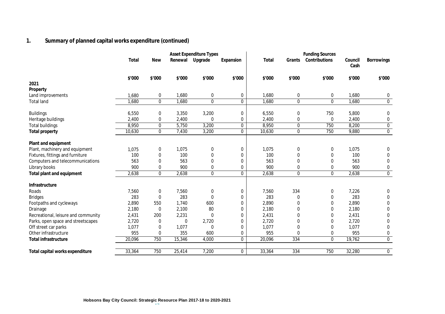### **1. Summary of planned capital works expenditure (continued)**

| Renewal<br>Upgrade<br>Contributions<br>Total<br><b>New</b><br>Total<br>Grants<br>Council<br>Expansion<br>Cash<br>\$'000<br>\$'000<br>\$'000<br>\$'000<br>\$'000<br>\$'000<br>\$'000<br>\$'000<br>\$'000<br>2021<br>Property<br>1,680<br>0<br>1,680<br>1,680<br>Land improvements<br>0<br>0<br>0<br>0<br>1,680<br>$\mathbf 0$<br>0<br>$\bf{0}$<br>0<br>1,680<br>1,680<br>0<br>1,680<br>1,680<br><b>Total land</b><br><b>Buildings</b><br>3,350<br>3,200<br>750<br>5,800<br>0<br>6,550<br>0<br>6,550<br>0<br>2,400<br>2,400<br>0<br>2,400<br>0<br>0<br>0<br>0<br>2,400<br>Heritage buildings<br>8,950<br>3,200<br>0<br>8,950<br>$\bf{0}$<br>750<br>8,200<br>0<br>5,750<br><b>Total buildings</b><br>10,630<br>$\mathbf 0$<br>3,200<br>$\mathbf 0$<br>10,630<br>$\mathbf 0$<br>750<br>9,880<br>7,430<br><b>Total property</b><br>Plant and equipment<br>Plant, machinery and equipment<br>1,075<br>1,075<br>1,075<br>1,075<br>0<br>0<br>0<br>0<br>0<br>100<br>100<br>100<br>100<br>Fixtures, fittings and furniture<br>0<br>0<br>0<br>0<br>0<br>563<br>563<br>563<br>563<br>Computers and telecommunications<br>0<br>$\Omega$<br>$\mathbf{0}$<br>0<br>0<br>Library books<br>900<br>0<br>900<br>900<br>900<br>0<br>0<br>0<br>0<br>0<br>0<br>2,638<br>$\mathbf{0}$<br>$\mathbf{0}$<br>Total plant and equipment<br>2,638<br>2,638<br>$\mathbf{0}$<br>2,638<br>Infrastructure<br>7,560<br>334<br>7,226<br>Roads<br>7,560<br>0<br>7,560<br>0<br>0<br>0<br>283<br>283<br>283<br>283<br>$\mathbf 0$<br><b>Bridges</b><br>$\mathbf{0}$<br>0<br>0<br>0<br>2,890<br>2,890<br>2,890<br>Footpaths and cycleways<br>550<br>1,740<br>600<br>0<br>0<br>0<br>2,180<br>2,100<br>80<br>2,180<br>2,180<br>Drainage<br>0<br>$\mathbf{0}$<br>0<br>0<br>2,231<br>2,431<br>Recreational, leisure and community<br>2,431<br>200<br>0<br>2,431<br>0<br>0<br>0<br>2,720<br>$\bf{0}$<br>2,720<br>$\mathbf 0$<br>2,720<br>Parks, open space and streetscapes<br>2,720<br>0<br>0<br>0 |                   | <b>Funding Sources</b> |                  |
|--------------------------------------------------------------------------------------------------------------------------------------------------------------------------------------------------------------------------------------------------------------------------------------------------------------------------------------------------------------------------------------------------------------------------------------------------------------------------------------------------------------------------------------------------------------------------------------------------------------------------------------------------------------------------------------------------------------------------------------------------------------------------------------------------------------------------------------------------------------------------------------------------------------------------------------------------------------------------------------------------------------------------------------------------------------------------------------------------------------------------------------------------------------------------------------------------------------------------------------------------------------------------------------------------------------------------------------------------------------------------------------------------------------------------------------------------------------------------------------------------------------------------------------------------------------------------------------------------------------------------------------------------------------------------------------------------------------------------------------------------------------------------------------------------------------------------------------------------------------------------------------------------------------------------------------------------------|-------------------|------------------------|------------------|
|                                                                                                                                                                                                                                                                                                                                                                                                                                                                                                                                                                                                                                                                                                                                                                                                                                                                                                                                                                                                                                                                                                                                                                                                                                                                                                                                                                                                                                                                                                                                                                                                                                                                                                                                                                                                                                                                                                                                                        | <b>Borrowings</b> |                        |                  |
|                                                                                                                                                                                                                                                                                                                                                                                                                                                                                                                                                                                                                                                                                                                                                                                                                                                                                                                                                                                                                                                                                                                                                                                                                                                                                                                                                                                                                                                                                                                                                                                                                                                                                                                                                                                                                                                                                                                                                        |                   |                        | \$'000           |
|                                                                                                                                                                                                                                                                                                                                                                                                                                                                                                                                                                                                                                                                                                                                                                                                                                                                                                                                                                                                                                                                                                                                                                                                                                                                                                                                                                                                                                                                                                                                                                                                                                                                                                                                                                                                                                                                                                                                                        |                   |                        |                  |
|                                                                                                                                                                                                                                                                                                                                                                                                                                                                                                                                                                                                                                                                                                                                                                                                                                                                                                                                                                                                                                                                                                                                                                                                                                                                                                                                                                                                                                                                                                                                                                                                                                                                                                                                                                                                                                                                                                                                                        |                   |                        |                  |
|                                                                                                                                                                                                                                                                                                                                                                                                                                                                                                                                                                                                                                                                                                                                                                                                                                                                                                                                                                                                                                                                                                                                                                                                                                                                                                                                                                                                                                                                                                                                                                                                                                                                                                                                                                                                                                                                                                                                                        |                   |                        | 0                |
|                                                                                                                                                                                                                                                                                                                                                                                                                                                                                                                                                                                                                                                                                                                                                                                                                                                                                                                                                                                                                                                                                                                                                                                                                                                                                                                                                                                                                                                                                                                                                                                                                                                                                                                                                                                                                                                                                                                                                        |                   |                        | $\pmb{0}$        |
|                                                                                                                                                                                                                                                                                                                                                                                                                                                                                                                                                                                                                                                                                                                                                                                                                                                                                                                                                                                                                                                                                                                                                                                                                                                                                                                                                                                                                                                                                                                                                                                                                                                                                                                                                                                                                                                                                                                                                        |                   |                        | 0                |
|                                                                                                                                                                                                                                                                                                                                                                                                                                                                                                                                                                                                                                                                                                                                                                                                                                                                                                                                                                                                                                                                                                                                                                                                                                                                                                                                                                                                                                                                                                                                                                                                                                                                                                                                                                                                                                                                                                                                                        |                   |                        | 0                |
|                                                                                                                                                                                                                                                                                                                                                                                                                                                                                                                                                                                                                                                                                                                                                                                                                                                                                                                                                                                                                                                                                                                                                                                                                                                                                                                                                                                                                                                                                                                                                                                                                                                                                                                                                                                                                                                                                                                                                        |                   |                        | $\bf{0}$         |
|                                                                                                                                                                                                                                                                                                                                                                                                                                                                                                                                                                                                                                                                                                                                                                                                                                                                                                                                                                                                                                                                                                                                                                                                                                                                                                                                                                                                                                                                                                                                                                                                                                                                                                                                                                                                                                                                                                                                                        |                   |                        | 0                |
|                                                                                                                                                                                                                                                                                                                                                                                                                                                                                                                                                                                                                                                                                                                                                                                                                                                                                                                                                                                                                                                                                                                                                                                                                                                                                                                                                                                                                                                                                                                                                                                                                                                                                                                                                                                                                                                                                                                                                        |                   |                        |                  |
|                                                                                                                                                                                                                                                                                                                                                                                                                                                                                                                                                                                                                                                                                                                                                                                                                                                                                                                                                                                                                                                                                                                                                                                                                                                                                                                                                                                                                                                                                                                                                                                                                                                                                                                                                                                                                                                                                                                                                        |                   |                        | 0                |
|                                                                                                                                                                                                                                                                                                                                                                                                                                                                                                                                                                                                                                                                                                                                                                                                                                                                                                                                                                                                                                                                                                                                                                                                                                                                                                                                                                                                                                                                                                                                                                                                                                                                                                                                                                                                                                                                                                                                                        |                   |                        | 0                |
|                                                                                                                                                                                                                                                                                                                                                                                                                                                                                                                                                                                                                                                                                                                                                                                                                                                                                                                                                                                                                                                                                                                                                                                                                                                                                                                                                                                                                                                                                                                                                                                                                                                                                                                                                                                                                                                                                                                                                        |                   |                        | 0                |
|                                                                                                                                                                                                                                                                                                                                                                                                                                                                                                                                                                                                                                                                                                                                                                                                                                                                                                                                                                                                                                                                                                                                                                                                                                                                                                                                                                                                                                                                                                                                                                                                                                                                                                                                                                                                                                                                                                                                                        |                   |                        | 0                |
|                                                                                                                                                                                                                                                                                                                                                                                                                                                                                                                                                                                                                                                                                                                                                                                                                                                                                                                                                                                                                                                                                                                                                                                                                                                                                                                                                                                                                                                                                                                                                                                                                                                                                                                                                                                                                                                                                                                                                        |                   |                        | $\mathbf 0$      |
|                                                                                                                                                                                                                                                                                                                                                                                                                                                                                                                                                                                                                                                                                                                                                                                                                                                                                                                                                                                                                                                                                                                                                                                                                                                                                                                                                                                                                                                                                                                                                                                                                                                                                                                                                                                                                                                                                                                                                        |                   |                        |                  |
|                                                                                                                                                                                                                                                                                                                                                                                                                                                                                                                                                                                                                                                                                                                                                                                                                                                                                                                                                                                                                                                                                                                                                                                                                                                                                                                                                                                                                                                                                                                                                                                                                                                                                                                                                                                                                                                                                                                                                        |                   |                        | 0                |
|                                                                                                                                                                                                                                                                                                                                                                                                                                                                                                                                                                                                                                                                                                                                                                                                                                                                                                                                                                                                                                                                                                                                                                                                                                                                                                                                                                                                                                                                                                                                                                                                                                                                                                                                                                                                                                                                                                                                                        |                   |                        | 0                |
|                                                                                                                                                                                                                                                                                                                                                                                                                                                                                                                                                                                                                                                                                                                                                                                                                                                                                                                                                                                                                                                                                                                                                                                                                                                                                                                                                                                                                                                                                                                                                                                                                                                                                                                                                                                                                                                                                                                                                        |                   |                        | 0                |
|                                                                                                                                                                                                                                                                                                                                                                                                                                                                                                                                                                                                                                                                                                                                                                                                                                                                                                                                                                                                                                                                                                                                                                                                                                                                                                                                                                                                                                                                                                                                                                                                                                                                                                                                                                                                                                                                                                                                                        |                   |                        | 0                |
|                                                                                                                                                                                                                                                                                                                                                                                                                                                                                                                                                                                                                                                                                                                                                                                                                                                                                                                                                                                                                                                                                                                                                                                                                                                                                                                                                                                                                                                                                                                                                                                                                                                                                                                                                                                                                                                                                                                                                        |                   |                        | 0                |
|                                                                                                                                                                                                                                                                                                                                                                                                                                                                                                                                                                                                                                                                                                                                                                                                                                                                                                                                                                                                                                                                                                                                                                                                                                                                                                                                                                                                                                                                                                                                                                                                                                                                                                                                                                                                                                                                                                                                                        |                   |                        | 0                |
| 1,077<br>Off street car parks<br>1,077<br>1,077<br>1,077<br>0<br>0<br>0<br>$\mathbf{0}$<br>0                                                                                                                                                                                                                                                                                                                                                                                                                                                                                                                                                                                                                                                                                                                                                                                                                                                                                                                                                                                                                                                                                                                                                                                                                                                                                                                                                                                                                                                                                                                                                                                                                                                                                                                                                                                                                                                           |                   |                        | $\mathbf 0$      |
| Other infrastructure<br>955<br>355<br>955<br>955<br>0<br>600<br>0<br>0<br>0                                                                                                                                                                                                                                                                                                                                                                                                                                                                                                                                                                                                                                                                                                                                                                                                                                                                                                                                                                                                                                                                                                                                                                                                                                                                                                                                                                                                                                                                                                                                                                                                                                                                                                                                                                                                                                                                            |                   |                        | $\pmb{0}$        |
| 20,096<br>750<br>15,346<br>20,096<br>334<br>$\Omega$<br>19,762<br>4,000<br>$\mathbf{0}$<br><b>Total infrastructure</b>                                                                                                                                                                                                                                                                                                                                                                                                                                                                                                                                                                                                                                                                                                                                                                                                                                                                                                                                                                                                                                                                                                                                                                                                                                                                                                                                                                                                                                                                                                                                                                                                                                                                                                                                                                                                                                 |                   |                        | $\mathbf 0$      |
| 33,364<br>750<br>7,200<br>$\mathbf 0$<br>334<br>750<br>32,280<br>25,414<br>33,364<br>Total capital works expenditure                                                                                                                                                                                                                                                                                                                                                                                                                                                                                                                                                                                                                                                                                                                                                                                                                                                                                                                                                                                                                                                                                                                                                                                                                                                                                                                                                                                                                                                                                                                                                                                                                                                                                                                                                                                                                                   |                   |                        | $\boldsymbol{0}$ |